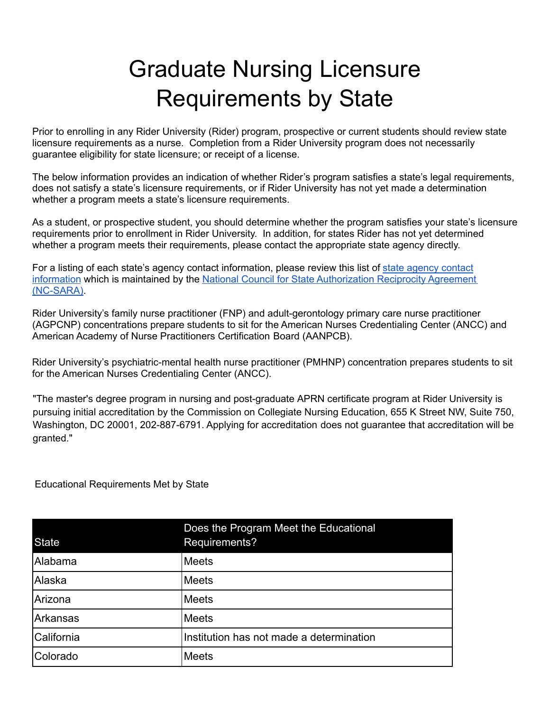## Graduate Nursing Licensure Requirements by State

Prior to enrolling in any Rider University (Rider) program, prospective or current students should review state licensure requirements as a nurse. Completion from a Rider University program does not necessarily guarantee eligibility for state licensure; or receipt of a license.

The below information provides an indication of whether Rider's program satisfies a state's legal requirements, does not satisfy a state's licensure requirements, or if Rider University has not yet made a determination whether a program meets a state's licensure requirements.

As a student, or prospective student, you should determine whether the program satisfies your state's licensure requirements prior to enrollment in Rider University. In addition, for states Rider has not yet determined whether a program meets their requirements, please contact the appropriate state agency directly.

For a listing of each state's agency contact information, please review this list of [state agency contact](https://publish.smartsheet.com/f09beb91e1ef4e31980126505e1a4b81) [information](https://publish.smartsheet.com/f09beb91e1ef4e31980126505e1a4b81) which is maintained by the [National Council for State Authorization Reciprocity Agreement](https://nc-sara.org/resources/professional-licensure) [\(NC-SARA\).](https://nc-sara.org/resources/professional-licensure)

Rider University's family nurse practitioner (FNP) and adult-gerontology primary care nurse practitioner (AGPCNP) concentrations prepare students to sit for the American Nurses Credentialing Center (ANCC) and American Academy of Nurse Practitioners Certification Board (AANPCB).

Rider University's psychiatric-mental health nurse practitioner (PMHNP) concentration prepares students to sit for the American Nurses Credentialing Center (ANCC).

"The master's degree program in nursing and post-graduate APRN certificate program at Rider University is pursuing initial accreditation by the Commission on Collegiate Nursing Education, 655 K Street NW, Suite 750, Washington, DC 20001, 202-887-6791. Applying for accreditation does not guarantee that accreditation will be granted."

Educational Requirements Met by State

| <b>State</b> | Does the Program Meet the Educational<br>Requirements? |
|--------------|--------------------------------------------------------|
| Alabama      | <b>Meets</b>                                           |
| Alaska       | <b>Meets</b>                                           |
| Arizona      | <b>Meets</b>                                           |
| Arkansas     | <b>Meets</b>                                           |
| California   | Institution has not made a determination               |
| Colorado     | Meets                                                  |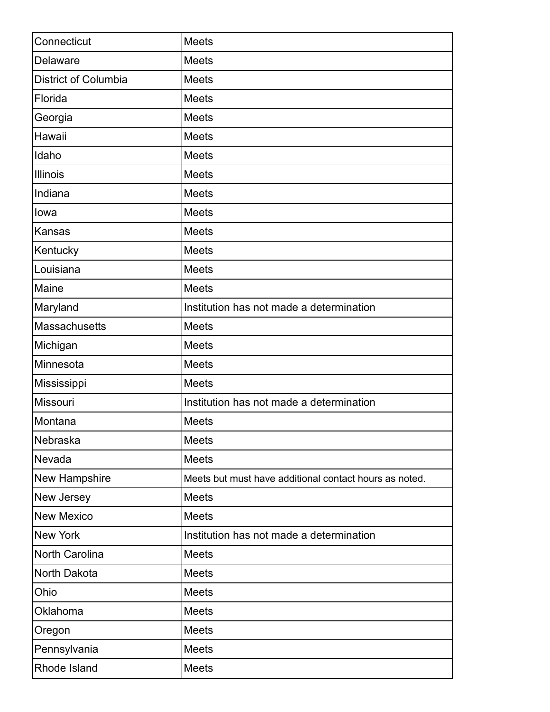| Connecticut                 | <b>Meets</b>                                           |
|-----------------------------|--------------------------------------------------------|
| Delaware                    | <b>Meets</b>                                           |
| <b>District of Columbia</b> | <b>Meets</b>                                           |
| Florida                     | <b>Meets</b>                                           |
| Georgia                     | <b>Meets</b>                                           |
| Hawaii                      | <b>Meets</b>                                           |
| Idaho                       | <b>Meets</b>                                           |
| Illinois                    | <b>Meets</b>                                           |
| Indiana                     | <b>Meets</b>                                           |
| lowa                        | <b>Meets</b>                                           |
| <b>Kansas</b>               | <b>Meets</b>                                           |
| Kentucky                    | <b>Meets</b>                                           |
| Louisiana                   | <b>Meets</b>                                           |
| Maine                       | <b>Meets</b>                                           |
| Maryland                    | Institution has not made a determination               |
| Massachusetts               | <b>Meets</b>                                           |
| Michigan                    | <b>Meets</b>                                           |
| Minnesota                   | <b>Meets</b>                                           |
| Mississippi                 | <b>Meets</b>                                           |
| Missouri                    | Institution has not made a determination               |
| Montana                     | <b>Meets</b>                                           |
| Nebraska                    | <b>Meets</b>                                           |
| Nevada                      | <b>Meets</b>                                           |
| New Hampshire               | Meets but must have additional contact hours as noted. |
| New Jersey                  | Meets                                                  |
| <b>New Mexico</b>           | <b>Meets</b>                                           |
| <b>New York</b>             | Institution has not made a determination               |
| North Carolina              | Meets                                                  |
| North Dakota                | Meets                                                  |
| Ohio                        | Meets                                                  |
| Oklahoma                    | <b>Meets</b>                                           |
| Oregon                      | Meets                                                  |
| Pennsylvania                | <b>Meets</b>                                           |
| Rhode Island                | Meets                                                  |